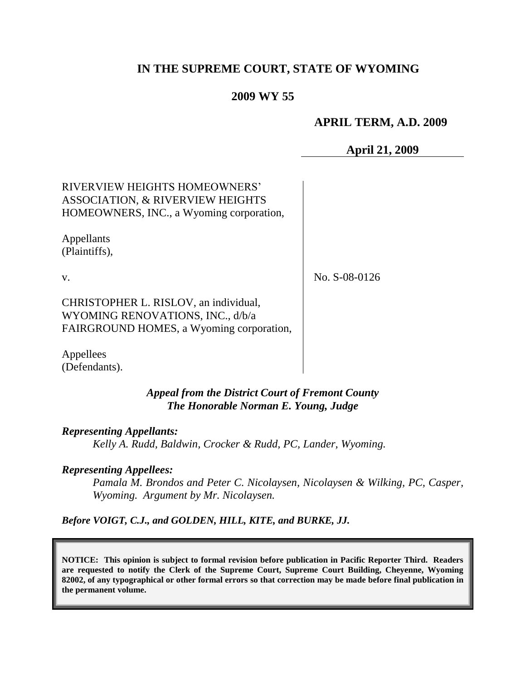# **IN THE SUPREME COURT, STATE OF WYOMING**

## **2009 WY 55**

## **APRIL TERM, A.D. 2009**

**April 21, 2009**

RIVERVIEW HEIGHTS HOMEOWNERS' ASSOCIATION, & RIVERVIEW HEIGHTS HOMEOWNERS, INC., a Wyoming corporation,

Appellants (Plaintiffs),

v.

No. S-08-0126

CHRISTOPHER L. RISLOV, an individual, WYOMING RENOVATIONS, INC., d/b/a FAIRGROUND HOMES, a Wyoming corporation,

Appellees (Defendants).

> *Appeal from the District Court of Fremont County The Honorable Norman E. Young, Judge*

*Representing Appellants:*

*Kelly A. Rudd, Baldwin, Crocker & Rudd, PC, Lander, Wyoming.*

#### *Representing Appellees:*

*Pamala M. Brondos and Peter C. Nicolaysen, Nicolaysen & Wilking, PC, Casper, Wyoming. Argument by Mr. Nicolaysen.*

*Before VOIGT, C.J., and GOLDEN, HILL, KITE, and BURKE, JJ.*

**NOTICE: This opinion is subject to formal revision before publication in Pacific Reporter Third. Readers are requested to notify the Clerk of the Supreme Court, Supreme Court Building, Cheyenne, Wyoming 82002, of any typographical or other formal errors so that correction may be made before final publication in the permanent volume.**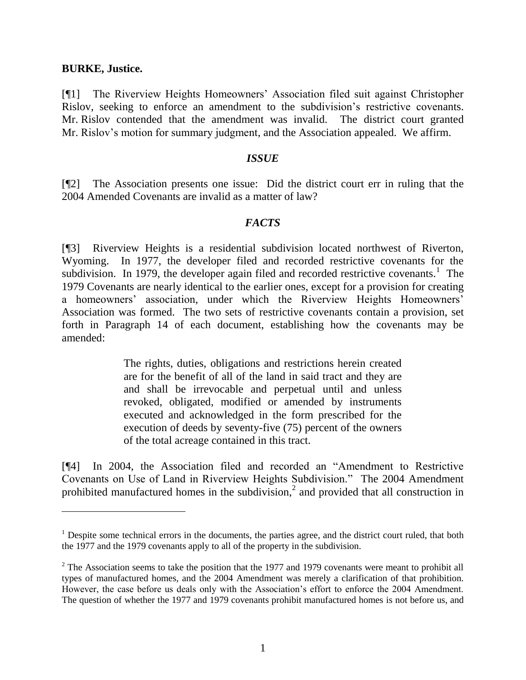### **BURKE, Justice.**

[¶1] The Riverview Heights Homeowners' Association filed suit against Christopher Rislov, seeking to enforce an amendment to the subdivision's restrictive covenants. Mr. Rislov contended that the amendment was invalid. The district court granted Mr. Rislov's motion for summary judgment, and the Association appealed. We affirm.

#### *ISSUE*

[¶2] The Association presents one issue: Did the district court err in ruling that the 2004 Amended Covenants are invalid as a matter of law?

### *FACTS*

[¶3] Riverview Heights is a residential subdivision located northwest of Riverton, Wyoming. In 1977, the developer filed and recorded restrictive covenants for the subdivision. In 1979, the developer again filed and recorded restrictive covenants.<sup>1</sup> The 1979 Covenants are nearly identical to the earlier ones, except for a provision for creating a homeowners' association, under which the Riverview Heights Homeowners' Association was formed. The two sets of restrictive covenants contain a provision, set forth in Paragraph 14 of each document, establishing how the covenants may be amended:

> The rights, duties, obligations and restrictions herein created are for the benefit of all of the land in said tract and they are and shall be irrevocable and perpetual until and unless revoked, obligated, modified or amended by instruments executed and acknowledged in the form prescribed for the execution of deeds by seventy-five (75) percent of the owners of the total acreage contained in this tract.

[¶4] In 2004, the Association filed and recorded an "Amendment to Restrictive Covenants on Use of Land in Riverview Heights Subdivision." The 2004 Amendment prohibited manufactured homes in the subdivision,<sup>2</sup> and provided that all construction in

<sup>&</sup>lt;sup>1</sup> Despite some technical errors in the documents, the parties agree, and the district court ruled, that both the 1977 and the 1979 covenants apply to all of the property in the subdivision.

 $2$  The Association seems to take the position that the 1977 and 1979 covenants were meant to prohibit all types of manufactured homes, and the 2004 Amendment was merely a clarification of that prohibition. However, the case before us deals only with the Association's effort to enforce the 2004 Amendment. The question of whether the 1977 and 1979 covenants prohibit manufactured homes is not before us, and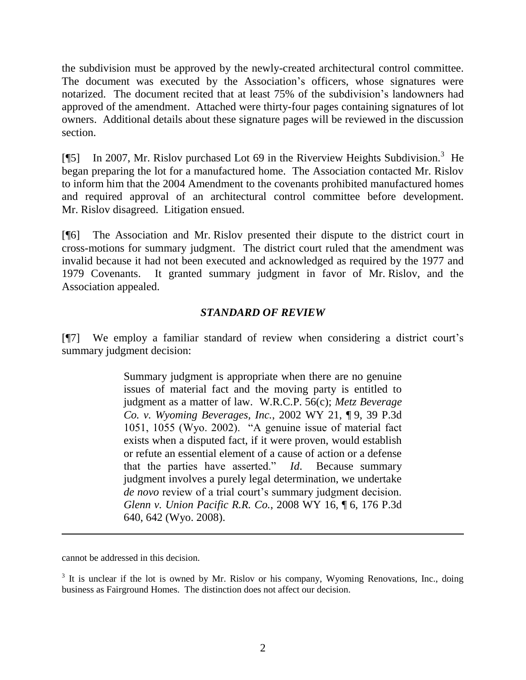the subdivision must be approved by the newly-created architectural control committee. The document was executed by the Association's officers, whose signatures were notarized. The document recited that at least 75% of the subdivision's landowners had approved of the amendment. Attached were thirty-four pages containing signatures of lot owners. Additional details about these signature pages will be reviewed in the discussion section.

[¶5] In 2007, Mr. Rislov purchased Lot 69 in the Riverview Heights Subdivision.<sup>3</sup> He began preparing the lot for a manufactured home. The Association contacted Mr. Rislov to inform him that the 2004 Amendment to the covenants prohibited manufactured homes and required approval of an architectural control committee before development. Mr. Rislov disagreed. Litigation ensued.

[¶6] The Association and Mr. Rislov presented their dispute to the district court in cross-motions for summary judgment. The district court ruled that the amendment was invalid because it had not been executed and acknowledged as required by the 1977 and 1979 Covenants. It granted summary judgment in favor of Mr. Rislov, and the Association appealed.

## *STANDARD OF REVIEW*

[¶7] We employ a familiar standard of review when considering a district court's summary judgment decision:

> Summary judgment is appropriate when there are no genuine issues of material fact and the moving party is entitled to judgment as a matter of law. W.R.C.P. 56(c); *Metz Beverage Co. v. Wyoming Beverages, Inc.*, 2002 WY 21, ¶ 9, 39 P.3d 1051, 1055 (Wyo. 2002). "A genuine issue of material fact exists when a disputed fact, if it were proven, would establish or refute an essential element of a cause of action or a defense that the parties have asserted." *Id*. Because summary judgment involves a purely legal determination, we undertake *de novo* review of a trial court's summary judgment decision. *Glenn v. Union Pacific R.R. Co.*, 2008 WY 16, ¶ 6, 176 P.3d 640, 642 (Wyo. 2008).

cannot be addressed in this decision.

 $\overline{a}$ 

 $3$  It is unclear if the lot is owned by Mr. Rislov or his company, Wyoming Renovations, Inc., doing business as Fairground Homes. The distinction does not affect our decision.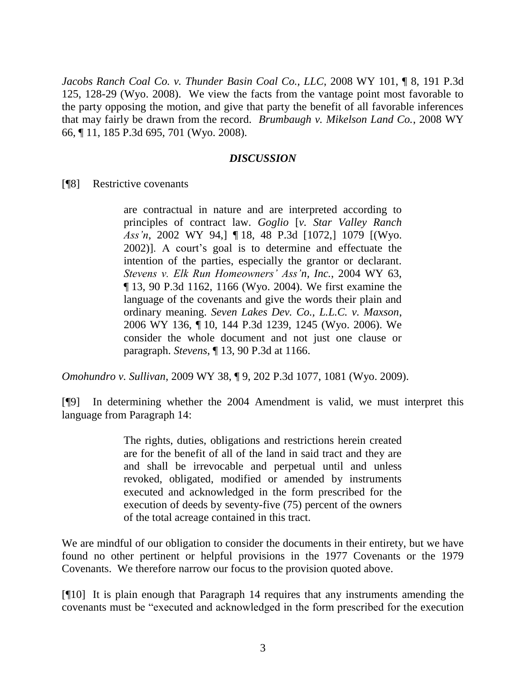*Jacobs Ranch Coal Co. v. Thunder Basin Coal Co., LLC*, 2008 WY 101, ¶ 8, 191 P.3d 125, 128-29 (Wyo. 2008). We view the facts from the vantage point most favorable to the party opposing the motion, and give that party the benefit of all favorable inferences that may fairly be drawn from the record. *Brumbaugh v. Mikelson Land Co.*, 2008 WY 66, ¶ 11, 185 P.3d 695, 701 (Wyo. 2008).

### *DISCUSSION*

[¶8] Restrictive covenants

are contractual in nature and are interpreted according to principles of contract law. *Goglio* [*v. Star Valley Ranch Ass'n*, 2002 WY 94,] ¶ 18, 48 P.3d [1072,] 1079 [(Wyo. 2002)]. A court's goal is to determine and effectuate the intention of the parties, especially the grantor or declarant. *Stevens v. Elk Run Homeowners' Ass'n, Inc.*, 2004 WY 63, ¶ 13, 90 P.3d 1162, 1166 (Wyo. 2004). We first examine the language of the covenants and give the words their plain and ordinary meaning. *Seven Lakes Dev. Co., L.L.C. v. Maxson*, 2006 WY 136, ¶ 10, 144 P.3d 1239, 1245 (Wyo. 2006). We consider the whole document and not just one clause or paragraph. *Stevens*, ¶ 13, 90 P.3d at 1166.

*Omohundro v. Sullivan*, 2009 WY 38, ¶ 9, 202 P.3d 1077, 1081 (Wyo. 2009).

[¶9] In determining whether the 2004 Amendment is valid, we must interpret this language from Paragraph 14:

> The rights, duties, obligations and restrictions herein created are for the benefit of all of the land in said tract and they are and shall be irrevocable and perpetual until and unless revoked, obligated, modified or amended by instruments executed and acknowledged in the form prescribed for the execution of deeds by seventy-five (75) percent of the owners of the total acreage contained in this tract.

We are mindful of our obligation to consider the documents in their entirety, but we have found no other pertinent or helpful provisions in the 1977 Covenants or the 1979 Covenants. We therefore narrow our focus to the provision quoted above.

[¶10] It is plain enough that Paragraph 14 requires that any instruments amending the covenants must be "executed and acknowledged in the form prescribed for the execution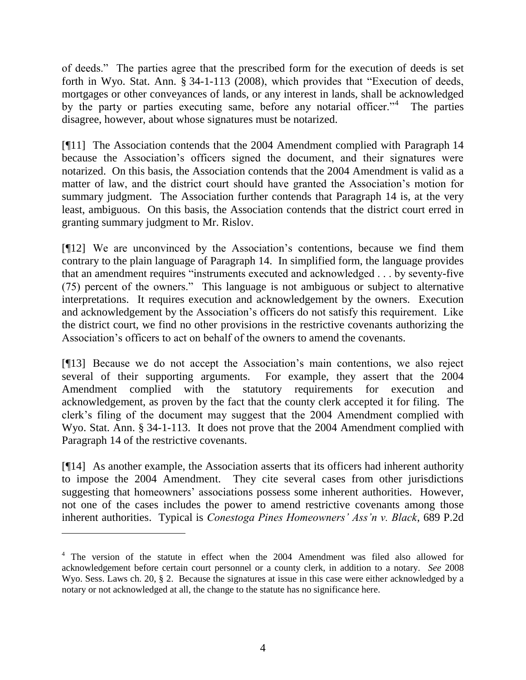of deeds." The parties agree that the prescribed form for the execution of deeds is set forth in Wyo. Stat. Ann. § 34-1-113 (2008), which provides that "Execution of deeds, mortgages or other conveyances of lands, or any interest in lands, shall be acknowledged by the party or parties executing same, before any notarial officer."<sup>4</sup> The parties disagree, however, about whose signatures must be notarized.

[¶11] The Association contends that the 2004 Amendment complied with Paragraph 14 because the Association's officers signed the document, and their signatures were notarized. On this basis, the Association contends that the 2004 Amendment is valid as a matter of law, and the district court should have granted the Association's motion for summary judgment. The Association further contends that Paragraph 14 is, at the very least, ambiguous. On this basis, the Association contends that the district court erred in granting summary judgment to Mr. Rislov.

[¶12] We are unconvinced by the Association's contentions, because we find them contrary to the plain language of Paragraph 14. In simplified form, the language provides that an amendment requires "instruments executed and acknowledged . . . by seventy-five (75) percent of the owners." This language is not ambiguous or subject to alternative interpretations. It requires execution and acknowledgement by the owners. Execution and acknowledgement by the Association's officers do not satisfy this requirement. Like the district court, we find no other provisions in the restrictive covenants authorizing the Association's officers to act on behalf of the owners to amend the covenants.

[¶13] Because we do not accept the Association's main contentions, we also reject several of their supporting arguments. For example, they assert that the 2004 Amendment complied with the statutory requirements for execution and acknowledgement, as proven by the fact that the county clerk accepted it for filing. The clerk's filing of the document may suggest that the 2004 Amendment complied with Wyo. Stat. Ann. § 34-1-113. It does not prove that the 2004 Amendment complied with Paragraph 14 of the restrictive covenants.

[¶14] As another example, the Association asserts that its officers had inherent authority to impose the 2004 Amendment. They cite several cases from other jurisdictions suggesting that homeowners' associations possess some inherent authorities. However, not one of the cases includes the power to amend restrictive covenants among those inherent authorities. Typical is *Conestoga Pines Homeowners' Ass'n v. Black*, 689 P.2d

 $\overline{a}$ 

<sup>&</sup>lt;sup>4</sup> The version of the statute in effect when the 2004 Amendment was filed also allowed for acknowledgement before certain court personnel or a county clerk, in addition to a notary. *See* 2008 Wyo. Sess. Laws ch. 20, § 2. Because the signatures at issue in this case were either acknowledged by a notary or not acknowledged at all, the change to the statute has no significance here.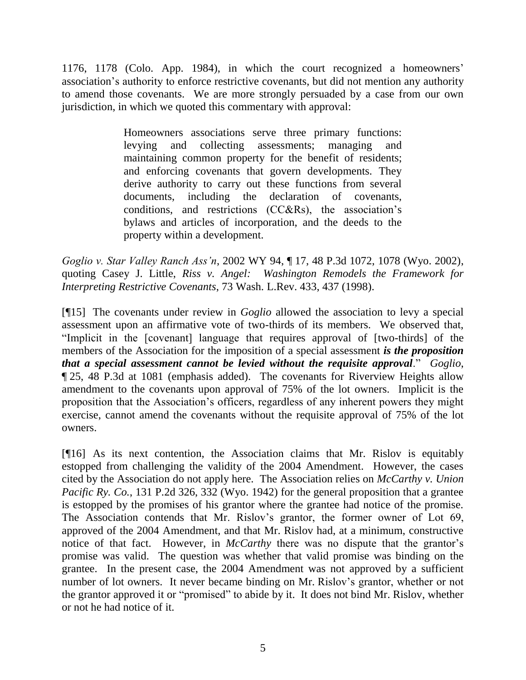1176, 1178 (Colo. App. 1984), in which the court recognized a homeowners' association's authority to enforce restrictive covenants, but did not mention any authority to amend those covenants. We are more strongly persuaded by a case from our own jurisdiction, in which we quoted this commentary with approval:

> Homeowners associations serve three primary functions: levying and collecting assessments; managing and maintaining common property for the benefit of residents; and enforcing covenants that govern developments. They derive authority to carry out these functions from several documents, including the declaration of covenants, conditions, and restrictions (CC&Rs), the association's bylaws and articles of incorporation, and the deeds to the property within a development.

*Goglio v. Star Valley Ranch Ass'n*, 2002 WY 94, ¶ 17, 48 P.3d 1072, 1078 (Wyo. 2002), quoting Casey J. Little, *Riss v. Angel: Washington Remodels the Framework for Interpreting Restrictive Covenants*, 73 Wash. L.Rev. 433, 437 (1998).

[¶15] The covenants under review in *Goglio* allowed the association to levy a special assessment upon an affirmative vote of two-thirds of its members. We observed that, "Implicit in the [covenant] language that requires approval of [two-thirds] of the members of the Association for the imposition of a special assessment *is the proposition that a special assessment cannot be levied without the requisite approval*." *Goglio*, ¶ 25, 48 P.3d at 1081 (emphasis added). The covenants for Riverview Heights allow amendment to the covenants upon approval of 75% of the lot owners. Implicit is the proposition that the Association's officers, regardless of any inherent powers they might exercise, cannot amend the covenants without the requisite approval of 75% of the lot owners.

[¶16] As its next contention, the Association claims that Mr. Rislov is equitably estopped from challenging the validity of the 2004 Amendment. However, the cases cited by the Association do not apply here. The Association relies on *McCarthy v. Union Pacific Ry. Co.*, 131 P.2d 326, 332 (Wyo. 1942) for the general proposition that a grantee is estopped by the promises of his grantor where the grantee had notice of the promise. The Association contends that Mr. Rislov's grantor, the former owner of Lot 69, approved of the 2004 Amendment, and that Mr. Rislov had, at a minimum, constructive notice of that fact. However, in *McCarthy* there was no dispute that the grantor's promise was valid. The question was whether that valid promise was binding on the grantee. In the present case, the 2004 Amendment was not approved by a sufficient number of lot owners. It never became binding on Mr. Rislov's grantor, whether or not the grantor approved it or "promised" to abide by it. It does not bind Mr. Rislov, whether or not he had notice of it.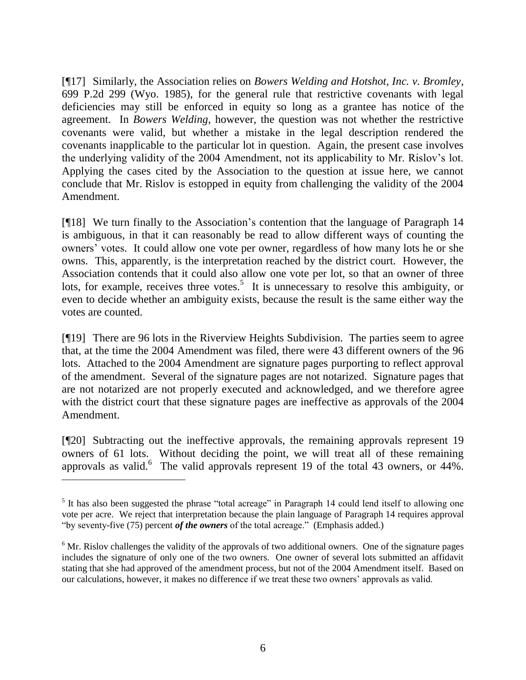[¶17] Similarly, the Association relies on *Bowers Welding and Hotshot, Inc. v. Bromley*, 699 P.2d 299 (Wyo. 1985), for the general rule that restrictive covenants with legal deficiencies may still be enforced in equity so long as a grantee has notice of the agreement. In *Bowers Welding*, however, the question was not whether the restrictive covenants were valid, but whether a mistake in the legal description rendered the covenants inapplicable to the particular lot in question. Again, the present case involves the underlying validity of the 2004 Amendment, not its applicability to Mr. Rislov's lot. Applying the cases cited by the Association to the question at issue here, we cannot conclude that Mr. Rislov is estopped in equity from challenging the validity of the 2004 Amendment.

[¶18] We turn finally to the Association's contention that the language of Paragraph 14 is ambiguous, in that it can reasonably be read to allow different ways of counting the owners' votes. It could allow one vote per owner, regardless of how many lots he or she owns. This, apparently, is the interpretation reached by the district court. However, the Association contends that it could also allow one vote per lot, so that an owner of three lots, for example, receives three votes.<sup>5</sup> It is unnecessary to resolve this ambiguity, or even to decide whether an ambiguity exists, because the result is the same either way the votes are counted.

[¶19] There are 96 lots in the Riverview Heights Subdivision. The parties seem to agree that, at the time the 2004 Amendment was filed, there were 43 different owners of the 96 lots. Attached to the 2004 Amendment are signature pages purporting to reflect approval of the amendment. Several of the signature pages are not notarized. Signature pages that are not notarized are not properly executed and acknowledged, and we therefore agree with the district court that these signature pages are ineffective as approvals of the 2004 Amendment.

[¶20] Subtracting out the ineffective approvals, the remaining approvals represent 19 owners of 61 lots. Without deciding the point, we will treat all of these remaining approvals as valid. <sup>6</sup> The valid approvals represent 19 of the total 43 owners, or 44%.

 $\overline{a}$ 

 $<sup>5</sup>$  It has also been suggested the phrase "total acreage" in Paragraph 14 could lend itself to allowing one</sup> vote per acre. We reject that interpretation because the plain language of Paragraph 14 requires approval "by seventy-five (75) percent *of the owners* of the total acreage." (Emphasis added.)

<sup>&</sup>lt;sup>6</sup> Mr. Rislov challenges the validity of the approvals of two additional owners. One of the signature pages includes the signature of only one of the two owners. One owner of several lots submitted an affidavit stating that she had approved of the amendment process, but not of the 2004 Amendment itself. Based on our calculations, however, it makes no difference if we treat these two owners' approvals as valid.